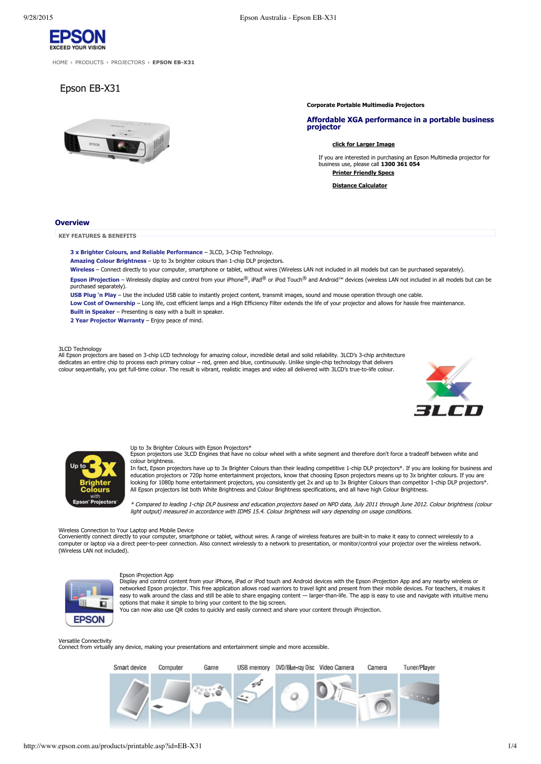

[HOME](http://www.epson.com.au/) > [PRODUCTS](http://www.epson.com.au/products/) > [PROJECTORS](http://www.epson.com.au/products/projector/) > **EPSON EB-X31** 

# Epson EB-X31



**Corporate Portable Multimedia Projectors**

### **Affordable XGA performance in a portable business projector**

### **click for [Larger](http://www.epson.com.au/img/products/EB-X31_600.jpg) Image**

If you are interested in purchasing an Epson Multimedia projector for business use, please call **1300 361 054 Printer Friendly Specs**

**Distance Calculator**

### **Overview**

**KEY FEATURES & BENEFITS**

## **3 x** Brighter Colours, and Reliable Performance - 3LCD, 3-Chip Technology.

**Amazing Colour Brightness** – Up to 3x brighter colours than 1chip DLP projectors.

**Wireless** – Connect directly to your computer, smartphone or tablet, without wires (Wireless LAN not included in all models but can be purchased separately). **Epson iProjection** – Wirelessly display and control from your iPhone®, iPad® or iPod Touch® and Android™ devices (wireless LAN not included in all models but can be

purchased separately).

**USB Plug 'n Play** – Use the included USB cable to instantly project content, transmit images, sound and mouse operation through one cable. Low Cost of Ownership – Long life, cost efficient lamps and a High Efficiency Filter extends the life of your projector and allows for hassle free maintenance. **Built in Speaker** – Presenting is easy with a built in speaker.

**2 Year Projector Warranty** – Enjoy peace of mind.

### 3LCD Technology

All Epson projectors are based on 3chip LCD technology for amazing colour, incredible detail and solid reliability. 3LCD's 3chip architecture dedicates an entire chip to process each primary colour – red, green and blue, continuously. Unlike single-chip technology that delivers colour sequentially, you get fulltime colour. The result is vibrant, realistic images and video all delivered with 3LCD's truetolife colour.





Up to 3x Brighter Colours with Epson Projectors\* Epson projectors use 3LCD Engines that have no colour wheel with a white segment and therefore don't force a tradeoff between white and colour brightness.

In fact, Epson projectors have up to 3x Brighter Colours than their leading competitive 1chip DLP projectors\*. If you are looking for business and education projectors or 720p home entertainment projectors, know that choosing Epson projectors means up to 3x brighter colours. If you are<br>looking for 1080p home entertainment projectors, you consistently get 2x and up to All Epson projectors list both White Brightness and Colour Brightness specifications, and all have high Colour Brightness.

\* Compared to leading 1chip DLP business and education projectors based on NPD data, July 2011 through June 2012. Colour brightness (colour light output) measured in accordance with IDMS 15.4. Colour brightness will vary depending on usage conditions.

Wireless Connection to Your Laptop and Mobile Device

Conveniently connect directly to your computer, smartphone or tablet, without wires. A range of wireless features are built-in to make it easy to connect wirelessly to a computer or laptop via a direct peer-to-peer connection. Also connect wirelessly to a network to presentation, or monitor/control your projector over the wireless network. (Wireless LAN not included).



Epson iProjection App Display and control content from your iPhone, iPad or iPod touch and Android devices with the Epson iProjection App and any nearby wireless or networked Epson projector. This free application allows road warriors to travel light and present from their mobile devices. For teachers, it makes it easy to walk around the class and still be able to share engaging content — larger-than-life. The app is easy to use and navigate with intuitive menu options that make it simple to bring your content to the big screen.

You can now also use QR codes to quickly and easily connect and share your content through iProjection.

Versatile Connectivity Connect from virtually any device, making your presentations and entertainment simple and more accessible.

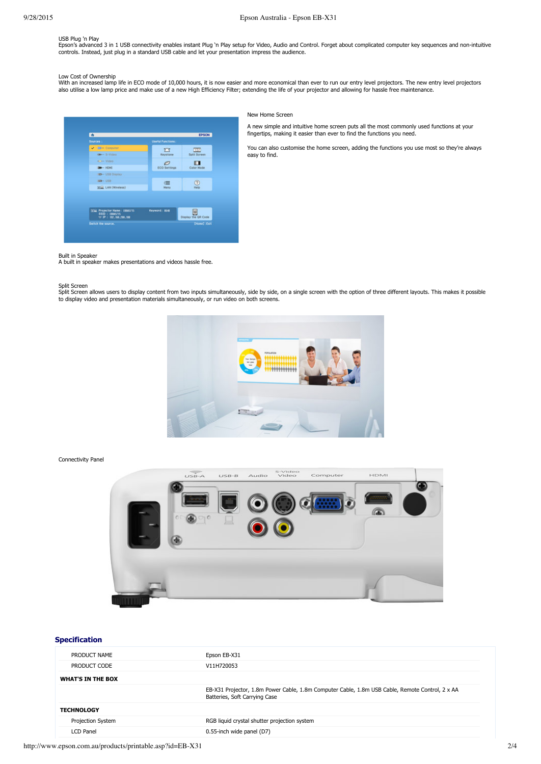## USB Plug 'n Play

Epson's advanced 3 in 1 USB connectivity enables instant Plug 'n Play setup for Video, Audio and Control. Forget about complicated computer key sequences and non-intuitive controls. Instead, just plug in a standard USB cable and let your presentation impress the audience.

Low Cost of Ownership<br>With an increased lamp life in ECO mode of 10,000 hours, it is now easier and more economical than ever to run our entry level projectors. The new entry level projectors<br>also utilise a low lamp price



New Home Screen

A new simple and intuitive home screen puts all the most commonly used functions at your fingertips, making it easier than ever to find the functions you need.

You can also customise the home screen, adding the functions you use most so they're always easy to find.

### Built in Speaker

A built in speaker makes presentations and videos hassle free.

### Split Screen

Split Screen allows users to display content from two inputs simultaneously, side by side, on a single screen with the option of three different layouts. This makes it possible<br>to display video and presentation materials s



Connectivity Panel



## **Specification**

| PRODUCT NAME             | Epson EB-X31                                                                                                                     |
|--------------------------|----------------------------------------------------------------------------------------------------------------------------------|
| PRODUCT CODE             | V11H720053                                                                                                                       |
| <b>WHAT'S IN THE BOX</b> |                                                                                                                                  |
|                          | EB-X31 Projector, 1.8m Power Cable, 1.8m Computer Cable, 1.8m USB Cable, Remote Control, 2 x AA<br>Batteries, Soft Carrying Case |
| <b>TECHNOLOGY</b>        |                                                                                                                                  |
| Projection System        | RGB liquid crystal shutter projection system                                                                                     |
| <b>LCD Panel</b>         | 0.55-inch wide panel (D7)                                                                                                        |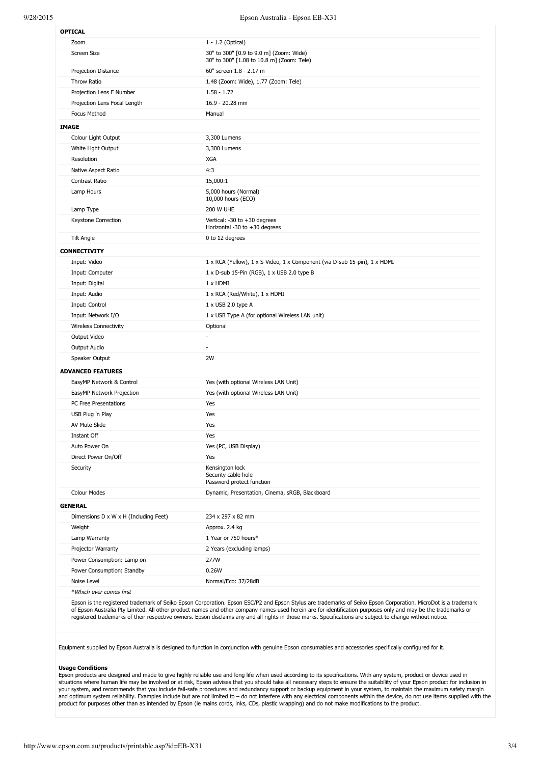| Zoom                                  | 1 - 1.2 (Optical)                                                                                                                                                                                                                                                                                                                                                                                                                                                          |
|---------------------------------------|----------------------------------------------------------------------------------------------------------------------------------------------------------------------------------------------------------------------------------------------------------------------------------------------------------------------------------------------------------------------------------------------------------------------------------------------------------------------------|
| Screen Size                           | 30" to 300" [0.9 to 9.0 m] (Zoom: Wide)<br>30" to 300" [1.08 to 10.8 m] (Zoom: Tele)                                                                                                                                                                                                                                                                                                                                                                                       |
| Projection Distance                   | 60" screen 1.8 - 2.17 m                                                                                                                                                                                                                                                                                                                                                                                                                                                    |
| Throw Ratio                           | 1.48 (Zoom: Wide), 1.77 (Zoom: Tele)                                                                                                                                                                                                                                                                                                                                                                                                                                       |
| Projection Lens F Number              | $1.58 - 1.72$                                                                                                                                                                                                                                                                                                                                                                                                                                                              |
| Projection Lens Focal Length          | 16.9 - 20.28 mm                                                                                                                                                                                                                                                                                                                                                                                                                                                            |
| Focus Method                          | Manual                                                                                                                                                                                                                                                                                                                                                                                                                                                                     |
| <b>IMAGE</b>                          |                                                                                                                                                                                                                                                                                                                                                                                                                                                                            |
| Colour Light Output                   | 3,300 Lumens                                                                                                                                                                                                                                                                                                                                                                                                                                                               |
| White Light Output                    | 3,300 Lumens                                                                                                                                                                                                                                                                                                                                                                                                                                                               |
| Resolution                            | <b>XGA</b>                                                                                                                                                                                                                                                                                                                                                                                                                                                                 |
| Native Aspect Ratio                   | 4:3                                                                                                                                                                                                                                                                                                                                                                                                                                                                        |
| Contrast Ratio                        | 15,000:1                                                                                                                                                                                                                                                                                                                                                                                                                                                                   |
| Lamp Hours                            | 5,000 hours (Normal)<br>10,000 hours (ECO)                                                                                                                                                                                                                                                                                                                                                                                                                                 |
| Lamp Type                             | <b>200 W UHE</b>                                                                                                                                                                                                                                                                                                                                                                                                                                                           |
| Keystone Correction                   | Vertical: -30 to +30 degrees<br>Horizontal -30 to $+30$ degrees                                                                                                                                                                                                                                                                                                                                                                                                            |
| <b>Tilt Angle</b>                     | 0 to 12 degrees                                                                                                                                                                                                                                                                                                                                                                                                                                                            |
| <b>CONNECTIVITY</b>                   |                                                                                                                                                                                                                                                                                                                                                                                                                                                                            |
| Input: Video                          | 1 x RCA (Yellow), 1 x S-Video, 1 x Component (via D-sub 15-pin), 1 x HDMI                                                                                                                                                                                                                                                                                                                                                                                                  |
| Input: Computer                       | 1 x D-sub 15-Pin (RGB), 1 x USB 2.0 type B                                                                                                                                                                                                                                                                                                                                                                                                                                 |
| Input: Digital                        | 1 x HDMI                                                                                                                                                                                                                                                                                                                                                                                                                                                                   |
| Input: Audio                          | 1 x RCA (Red/White), 1 x HDMI                                                                                                                                                                                                                                                                                                                                                                                                                                              |
| Input: Control                        | 1 x USB 2.0 type A                                                                                                                                                                                                                                                                                                                                                                                                                                                         |
| Input: Network I/O                    | 1 x USB Type A (for optional Wireless LAN unit)                                                                                                                                                                                                                                                                                                                                                                                                                            |
| <b>Wireless Connectivity</b>          | Optional                                                                                                                                                                                                                                                                                                                                                                                                                                                                   |
| Output Video                          | ä,                                                                                                                                                                                                                                                                                                                                                                                                                                                                         |
| Output Audio                          | $\frac{1}{2} \left( \frac{1}{2} \right) \left( \frac{1}{2} \right) \left( \frac{1}{2} \right) \left( \frac{1}{2} \right) \left( \frac{1}{2} \right) \left( \frac{1}{2} \right) \left( \frac{1}{2} \right) \left( \frac{1}{2} \right) \left( \frac{1}{2} \right) \left( \frac{1}{2} \right) \left( \frac{1}{2} \right) \left( \frac{1}{2} \right) \left( \frac{1}{2} \right) \left( \frac{1}{2} \right) \left( \frac{1}{2} \right) \left( \frac{1}{2} \right) \left( \frac$ |
| Speaker Output                        | 2W                                                                                                                                                                                                                                                                                                                                                                                                                                                                         |
| <b>ADVANCED FEATURES</b>              |                                                                                                                                                                                                                                                                                                                                                                                                                                                                            |
| EasyMP Network & Control              | Yes (with optional Wireless LAN Unit)                                                                                                                                                                                                                                                                                                                                                                                                                                      |
| EasyMP Network Projection             | Yes (with optional Wireless LAN Unit)                                                                                                                                                                                                                                                                                                                                                                                                                                      |
| PC Free Presentations                 | Yes                                                                                                                                                                                                                                                                                                                                                                                                                                                                        |
| USB Plug 'n Play                      | Yes                                                                                                                                                                                                                                                                                                                                                                                                                                                                        |
| AV Mute Slide                         | Yes                                                                                                                                                                                                                                                                                                                                                                                                                                                                        |
| Instant Off                           | Yes                                                                                                                                                                                                                                                                                                                                                                                                                                                                        |
| Auto Power On                         | Yes (PC, USB Display)                                                                                                                                                                                                                                                                                                                                                                                                                                                      |
| Direct Power On/Off                   | Yes                                                                                                                                                                                                                                                                                                                                                                                                                                                                        |
| Security                              | Kensington lock<br>Security cable hole<br>Password protect function                                                                                                                                                                                                                                                                                                                                                                                                        |
| <b>Colour Modes</b>                   | Dynamic, Presentation, Cinema, sRGB, Blackboard                                                                                                                                                                                                                                                                                                                                                                                                                            |
| <b>GENERAL</b>                        |                                                                                                                                                                                                                                                                                                                                                                                                                                                                            |
| Dimensions D x W x H (Including Feet) | 234 x 297 x 82 mm                                                                                                                                                                                                                                                                                                                                                                                                                                                          |
| Weight                                | Approx. 2.4 kg                                                                                                                                                                                                                                                                                                                                                                                                                                                             |
| Lamp Warranty                         | 1 Year or 750 hours*                                                                                                                                                                                                                                                                                                                                                                                                                                                       |
| Projector Warranty                    | 2 Years (excluding lamps)                                                                                                                                                                                                                                                                                                                                                                                                                                                  |
| Power Consumption: Lamp on            | 277W                                                                                                                                                                                                                                                                                                                                                                                                                                                                       |
| Power Consumption: Standby            | 0.26W                                                                                                                                                                                                                                                                                                                                                                                                                                                                      |
|                                       |                                                                                                                                                                                                                                                                                                                                                                                                                                                                            |
| Noise Level                           | Normal/Eco: 37/28dB                                                                                                                                                                                                                                                                                                                                                                                                                                                        |

Equipment supplied by Epson Australia is designed to function in conjunction with genuine Epson consumables and accessories specifically configured for it.

### **Usage Conditions**

Epson products are designed and made to give highly reliable use and long life when used according to its specifications. With any system, product or device used in situations where human life may be involved or at risk, Epson advises that you should take all necessary steps to ensure the suitability of your Epson product for inclusion in<br>your system, and recommends that you include f